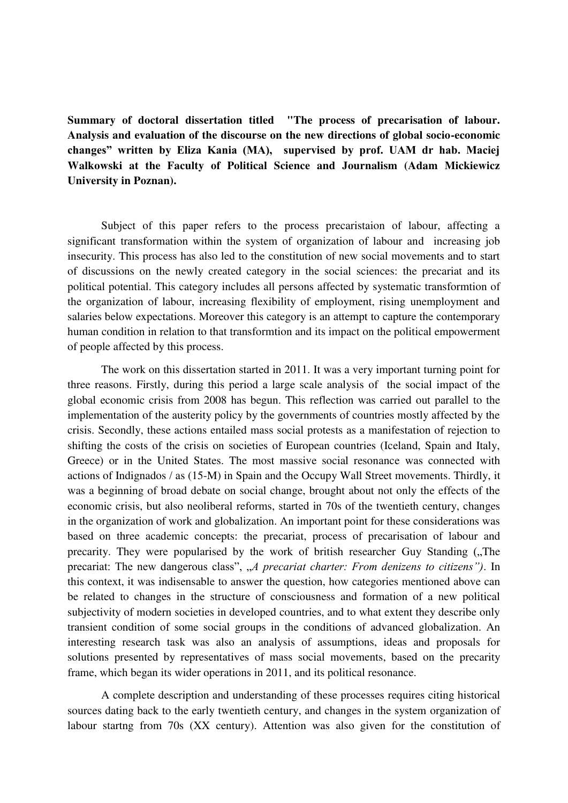**Summary of doctoral dissertation titled "The process of precarisation of labour. Analysis and evaluation of the discourse on the new directions of global socio-economic changes" written by Eliza Kania (MA), supervised by prof. UAM dr hab. Maciej Walkowski at the Faculty of Political Science and Journalism (Adam Mickiewicz University in Poznan).** 

Subject of this paper refers to the process precaristaion of labour, affecting a significant transformation within the system of organization of labour and increasing job insecurity. This process has also led to the constitution of new social movements and to start of discussions on the newly created category in the social sciences: the precariat and its political potential. This category includes all persons affected by systematic transformtion of the organization of labour, increasing flexibility of employment, rising unemployment and salaries below expectations. Moreover this category is an attempt to capture the contemporary human condition in relation to that transformtion and its impact on the political empowerment of people affected by this process.

The work on this dissertation started in 2011. It was a very important turning point for three reasons. Firstly, during this period a large scale analysis of the social impact of the global economic crisis from 2008 has begun. This reflection was carried out parallel to the implementation of the austerity policy by the governments of countries mostly affected by the crisis. Secondly, these actions entailed mass social protests as a manifestation of rejection to shifting the costs of the crisis on societies of European countries (Iceland, Spain and Italy, Greece) or in the United States. The most massive social resonance was connected with actions of Indignados / as (15-M) in Spain and the Occupy Wall Street movements. Thirdly, it was a beginning of broad debate on social change, brought about not only the effects of the economic crisis, but also neoliberal reforms, started in 70s of the twentieth century, changes in the organization of work and globalization. An important point for these considerations was based on three academic concepts: the precariat, process of precarisation of labour and precarity. They were popularised by the work of british researcher Guy Standing ("The precariat: The new dangerous class", "A precariat charter: From denizens to citizens"). In this context, it was indisensable to answer the question, how categories mentioned above can be related to changes in the structure of consciousness and formation of a new political subjectivity of modern societies in developed countries, and to what extent they describe only transient condition of some social groups in the conditions of advanced globalization. An interesting research task was also an analysis of assumptions, ideas and proposals for solutions presented by representatives of mass social movements, based on the precarity frame, which began its wider operations in 2011, and its political resonance.

A complete description and understanding of these processes requires citing historical sources dating back to the early twentieth century, and changes in the system organization of labour startng from 70s (XX century). Attention was also given for the constitution of